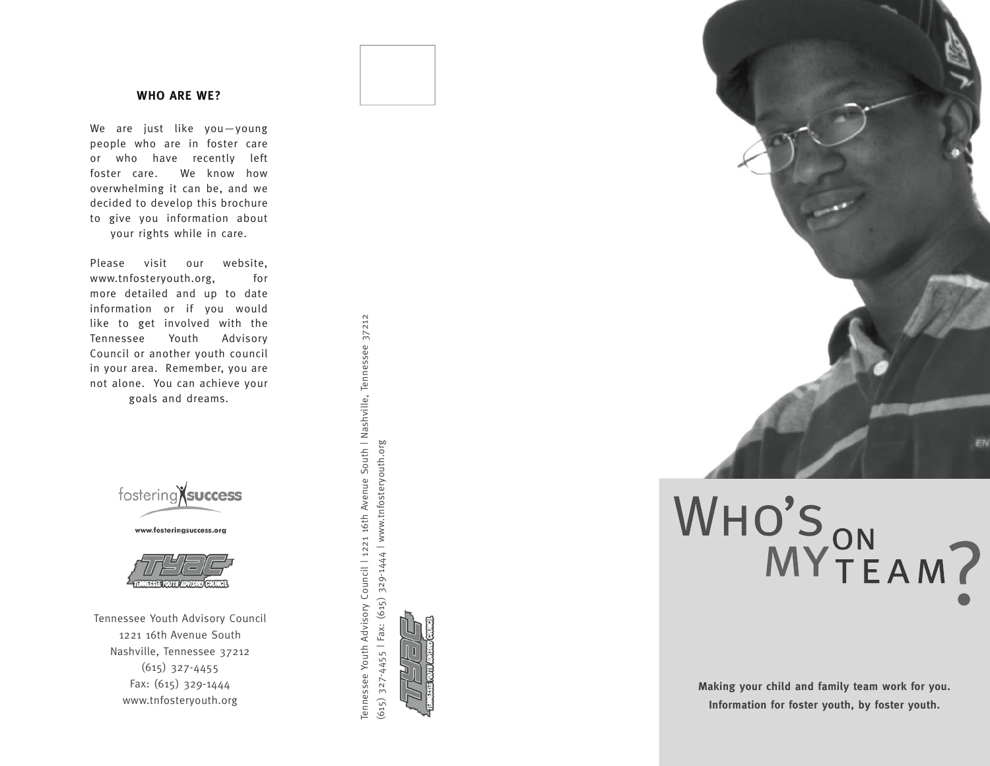### **Who are we?**

We are just like you—young people who are in foster care or who have recently left foster care. We know how overwhelming it can be, and we decided to develop this brochure to give you information about your rights while in care.

Please visit our website, www.tnfosteryouth.org, for more detailed and up to date information or if you would like to get involved with the Tennessee Youth Advisory Council or another youth council in your area. Remember, you are not alone. You can achieve your goals and dreams.







Tennessee Youth Advisory Council 1221 16th Avenue South Nashville, Tennessee 37212 (615) 327-4455 Fax: (615) 329-1444 www.tnfosteryouth.org







# WHO'S ON MY TEAM?

**Making your child and family team work for you. Information for foster youth, by foster youth.**